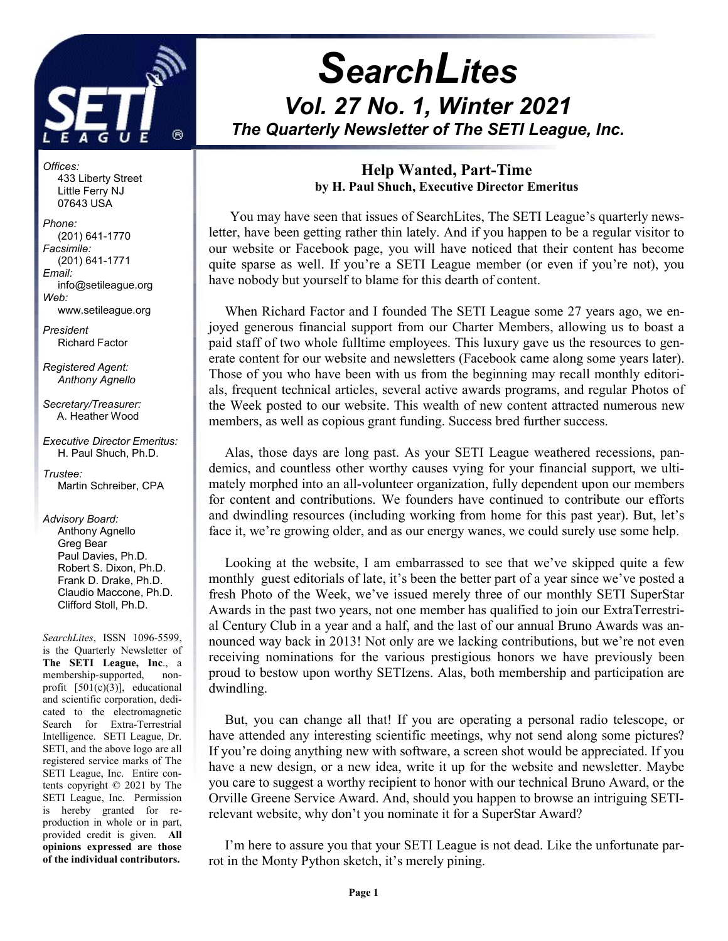

# **SearchLites** Vol. 27 No. 1, Winter 2021 The Quarterly Newsletter of The SETI League, Inc. j

Offices: 433 Liberty Street Little Ferry NJ 07643 USA

Phone: (201) 641-1770 Facsimile: (201) 641-1771 Email: info@setileague.org Web: www.setileague.org

President Richard Factor

Registered Agent: Anthony Agnello

Secretary/Treasurer: A. Heather Wood

Executive Director Emeritus: H. Paul Shuch, Ph.D.

Trustee: Martin Schreiber, CPA

Advisory Board: Anthony Agnello Greg Bear Paul Davies, Ph.D. Robert S. Dixon, Ph.D. Frank D. Drake, Ph.D. Claudio Maccone, Ph.D. Clifford Stoll, Ph.D.

SearchLites, ISSN 1096-5599, is the Quarterly Newsletter of The SETI League, Inc., a membership-supported, nonprofit [501(c)(3)], educational and scientific corporation, dedicated to the electromagnetic Search for Extra-Terrestrial Intelligence. SETI League, Dr. SETI, and the above logo are all registered service marks of The SETI League, Inc. Entire contents copyright © 2021 by The SETI League, Inc. Permission is hereby granted for reproduction in whole or in part, provided credit is given. All opinions expressed are those of the individual contributors.

### Help Wanted, Part-Time by H. Paul Shuch, Executive Director Emeritus

 You may have seen that issues of SearchLites, The SETI League's quarterly newsletter, have been getting rather thin lately. And if you happen to be a regular visitor to our website or Facebook page, you will have noticed that their content has become quite sparse as well. If you're a SETI League member (or even if you're not), you have nobody but yourself to blame for this dearth of content.

When Richard Factor and I founded The SETI League some 27 years ago, we enjoyed generous financial support from our Charter Members, allowing us to boast a paid staff of two whole fulltime employees. This luxury gave us the resources to generate content for our website and newsletters (Facebook came along some years later). Those of you who have been with us from the beginning may recall monthly editorials, frequent technical articles, several active awards programs, and regular Photos of the Week posted to our website. This wealth of new content attracted numerous new members, as well as copious grant funding. Success bred further success.

Alas, those days are long past. As your SETI League weathered recessions, pandemics, and countless other worthy causes vying for your financial support, we ultimately morphed into an all-volunteer organization, fully dependent upon our members for content and contributions. We founders have continued to contribute our efforts and dwindling resources (including working from home for this past year). But, let's face it, we're growing older, and as our energy wanes, we could surely use some help.

Looking at the website, I am embarrassed to see that we've skipped quite a few monthly guest editorials of late, it's been the better part of a year since we've posted a fresh Photo of the Week, we've issued merely three of our monthly SETI SuperStar Awards in the past two years, not one member has qualified to join our ExtraTerrestrial Century Club in a year and a half, and the last of our annual Bruno Awards was announced way back in 2013! Not only are we lacking contributions, but we're not even receiving nominations for the various prestigious honors we have previously been proud to bestow upon worthy SETIzens. Alas, both membership and participation are dwindling.

But, you can change all that! If you are operating a personal radio telescope, or have attended any interesting scientific meetings, why not send along some pictures? If you're doing anything new with software, a screen shot would be appreciated. If you have a new design, or a new idea, write it up for the website and newsletter. Maybe you care to suggest a worthy recipient to honor with our technical Bruno Award, or the Orville Greene Service Award. And, should you happen to browse an intriguing SETIrelevant website, why don't you nominate it for a SuperStar Award?

I'm here to assure you that your SETI League is not dead. Like the unfortunate parrot in the Monty Python sketch, it's merely pining.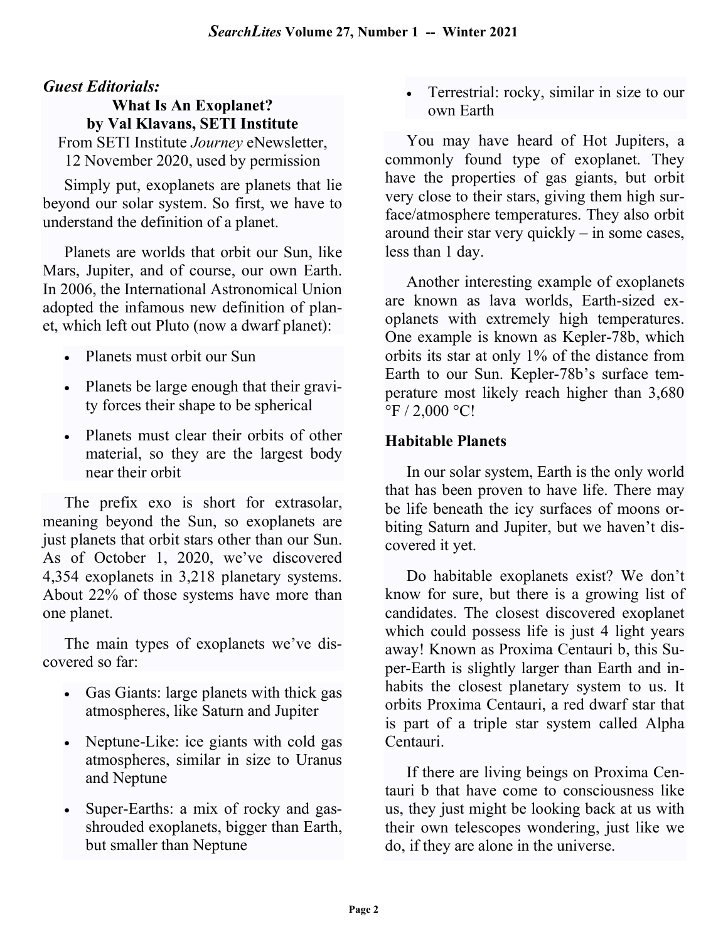# Guest Editorials:

What Is An Exoplanet? by Val Klavans, SETI Institute From SETI Institute Journey eNewsletter, 12 November 2020, used by permission

Simply put, exoplanets are planets that lie beyond our solar system. So first, we have to understand the definition of a planet.

Planets are worlds that orbit our Sun, like Mars, Jupiter, and of course, our own Earth. In 2006, the International Astronomical Union adopted the infamous new definition of planet, which left out Pluto (now a dwarf planet):

- Planets must orbit our Sun
- Planets be large enough that their gravity forces their shape to be spherical
- Planets must clear their orbits of other material, so they are the largest body near their orbit

The prefix exo is short for extrasolar, meaning beyond the Sun, so exoplanets are just planets that orbit stars other than our Sun. As of October 1, 2020, we've discovered 4,354 exoplanets in 3,218 planetary systems. About 22% of those systems have more than one planet.

The main types of exoplanets we've discovered so far:

- Gas Giants: large planets with thick gas atmospheres, like Saturn and Jupiter
- Neptune-Like: ice giants with cold gas atmospheres, similar in size to Uranus and Neptune
- Super-Earths: a mix of rocky and gasshrouded exoplanets, bigger than Earth, but smaller than Neptune

 Terrestrial: rocky, similar in size to our own Earth

You may have heard of Hot Jupiters, a commonly found type of exoplanet. They have the properties of gas giants, but orbit very close to their stars, giving them high surface/atmosphere temperatures. They also orbit around their star very quickly – in some cases, less than 1 day.

Another interesting example of exoplanets are known as lava worlds, Earth-sized exoplanets with extremely high temperatures. One example is known as Kepler-78b, which orbits its star at only 1% of the distance from Earth to our Sun. Kepler-78b's surface temperature most likely reach higher than 3,680  $\mathrm{^{\circ}F}$  / 2,000  $\mathrm{^{\circ}C}$ !

## Habitable Planets

In our solar system, Earth is the only world that has been proven to have life. There may be life beneath the icy surfaces of moons orbiting Saturn and Jupiter, but we haven't discovered it yet.

Do habitable exoplanets exist? We don't know for sure, but there is a growing list of candidates. The closest discovered exoplanet which could possess life is just 4 light years away! Known as Proxima Centauri b, this Super-Earth is slightly larger than Earth and inhabits the closest planetary system to us. It orbits Proxima Centauri, a red dwarf star that is part of a triple star system called Alpha Centauri.

If there are living beings on Proxima Centauri b that have come to consciousness like us, they just might be looking back at us with their own telescopes wondering, just like we do, if they are alone in the universe.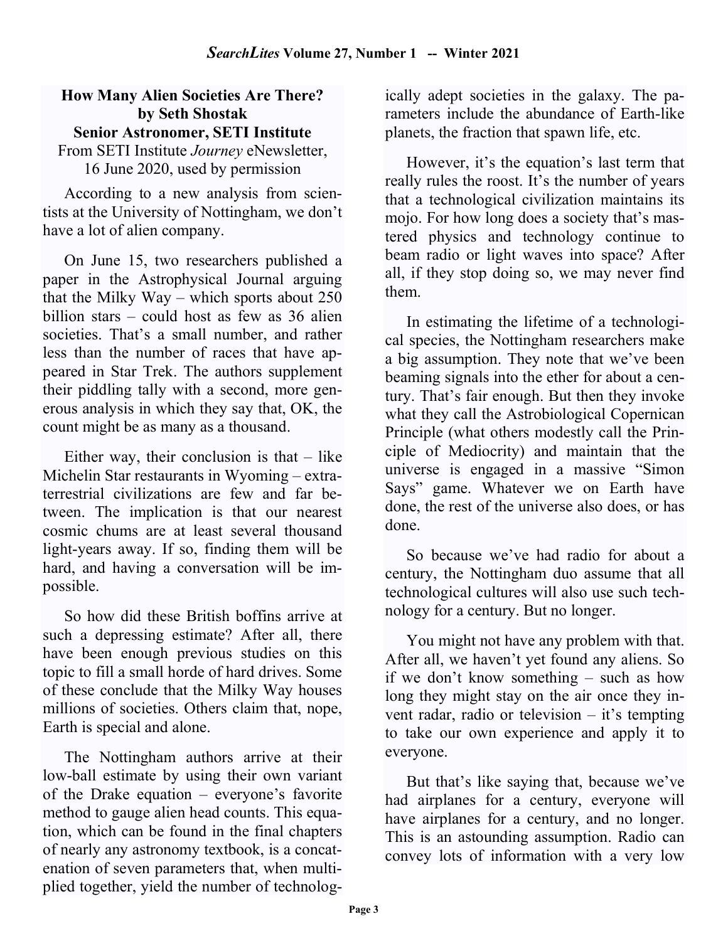### How Many Alien Societies Are There? by Seth Shostak Senior Astronomer, SETI Institute

From SETI Institute Journey eNewsletter, 16 June 2020, used by permission

According to a new analysis from scientists at the University of Nottingham, we don't have a lot of alien company.

On June 15, two researchers published a paper in the Astrophysical Journal arguing that the Milky Way – which sports about 250 billion stars – could host as few as 36 alien societies. That's a small number, and rather less than the number of races that have appeared in Star Trek. The authors supplement their piddling tally with a second, more generous analysis in which they say that, OK, the count might be as many as a thousand.

Either way, their conclusion is that  $-$  like Michelin Star restaurants in Wyoming – extraterrestrial civilizations are few and far between. The implication is that our nearest cosmic chums are at least several thousand light-years away. If so, finding them will be hard, and having a conversation will be impossible.

So how did these British boffins arrive at such a depressing estimate? After all, there have been enough previous studies on this topic to fill a small horde of hard drives. Some of these conclude that the Milky Way houses millions of societies. Others claim that, nope, Earth is special and alone.

The Nottingham authors arrive at their low-ball estimate by using their own variant of the Drake equation – everyone's favorite method to gauge alien head counts. This equation, which can be found in the final chapters of nearly any astronomy textbook, is a concatenation of seven parameters that, when multiplied together, yield the number of technolog-

ically adept societies in the galaxy. The parameters include the abundance of Earth-like planets, the fraction that spawn life, etc.

However, it's the equation's last term that really rules the roost. It's the number of years that a technological civilization maintains its mojo. For how long does a society that's mastered physics and technology continue to beam radio or light waves into space? After all, if they stop doing so, we may never find them.

In estimating the lifetime of a technological species, the Nottingham researchers make a big assumption. They note that we've been beaming signals into the ether for about a century. That's fair enough. But then they invoke what they call the Astrobiological Copernican Principle (what others modestly call the Principle of Mediocrity) and maintain that the universe is engaged in a massive "Simon Says" game. Whatever we on Earth have done, the rest of the universe also does, or has done.

So because we've had radio for about a century, the Nottingham duo assume that all technological cultures will also use such technology for a century. But no longer.

You might not have any problem with that. After all, we haven't yet found any aliens. So if we don't know something – such as how long they might stay on the air once they invent radar, radio or television – it's tempting to take our own experience and apply it to everyone.

But that's like saying that, because we've had airplanes for a century, everyone will have airplanes for a century, and no longer. This is an astounding assumption. Radio can convey lots of information with a very low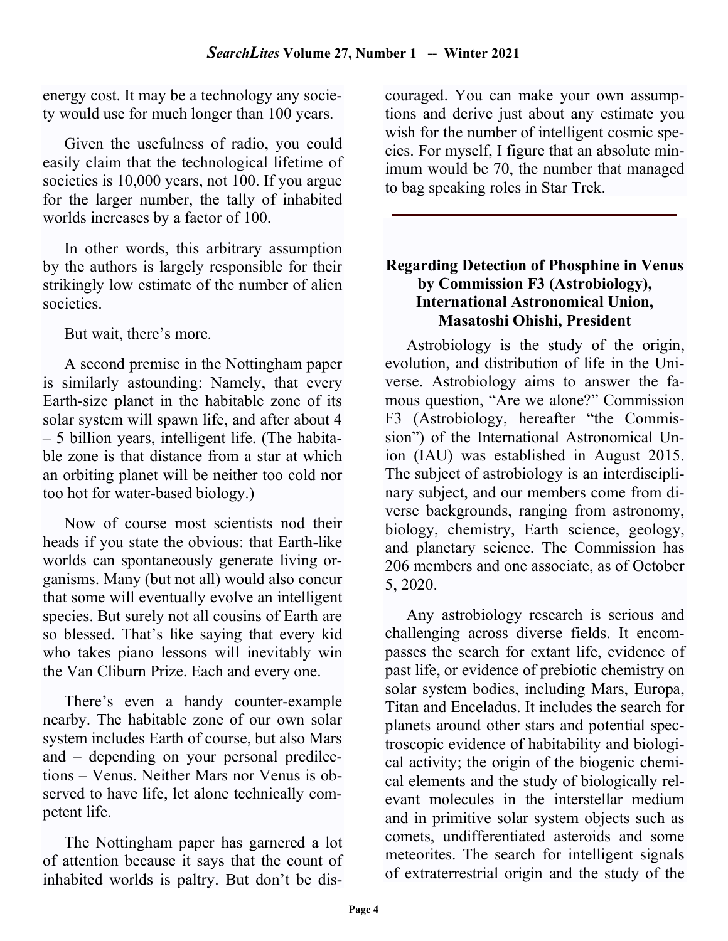energy cost. It may be a technology any society would use for much longer than 100 years.

Given the usefulness of radio, you could easily claim that the technological lifetime of societies is 10,000 years, not 100. If you argue for the larger number, the tally of inhabited worlds increases by a factor of 100.

In other words, this arbitrary assumption by the authors is largely responsible for their strikingly low estimate of the number of alien societies.

But wait, there's more.

A second premise in the Nottingham paper is similarly astounding: Namely, that every Earth-size planet in the habitable zone of its solar system will spawn life, and after about 4 – 5 billion years, intelligent life. (The habitable zone is that distance from a star at which an orbiting planet will be neither too cold nor too hot for water-based biology.)

Now of course most scientists nod their heads if you state the obvious: that Earth-like worlds can spontaneously generate living organisms. Many (but not all) would also concur that some will eventually evolve an intelligent species. But surely not all cousins of Earth are so blessed. That's like saying that every kid who takes piano lessons will inevitably win the Van Cliburn Prize. Each and every one.

There's even a handy counter-example nearby. The habitable zone of our own solar system includes Earth of course, but also Mars and – depending on your personal predilections – Venus. Neither Mars nor Venus is observed to have life, let alone technically competent life.

The Nottingham paper has garnered a lot of attention because it says that the count of inhabited worlds is paltry. But don't be discouraged. You can make your own assumptions and derive just about any estimate you wish for the number of intelligent cosmic species. For myself, I figure that an absolute minimum would be 70, the number that managed to bag speaking roles in Star Trek.

### Regarding Detection of Phosphine in Venus by Commission F3 (Astrobiology), International Astronomical Union, Masatoshi Ohishi, President

Astrobiology is the study of the origin, evolution, and distribution of life in the Universe. Astrobiology aims to answer the famous question, "Are we alone?" Commission F3 (Astrobiology, hereafter "the Commission") of the International Astronomical Union (IAU) was established in August 2015. The subject of astrobiology is an interdisciplinary subject, and our members come from diverse backgrounds, ranging from astronomy, biology, chemistry, Earth science, geology, and planetary science. The Commission has 206 members and one associate, as of October 5, 2020.

Any astrobiology research is serious and challenging across diverse fields. It encompasses the search for extant life, evidence of past life, or evidence of prebiotic chemistry on solar system bodies, including Mars, Europa, Titan and Enceladus. It includes the search for planets around other stars and potential spectroscopic evidence of habitability and biological activity; the origin of the biogenic chemical elements and the study of biologically relevant molecules in the interstellar medium and in primitive solar system objects such as comets, undifferentiated asteroids and some meteorites. The search for intelligent signals of extraterrestrial origin and the study of the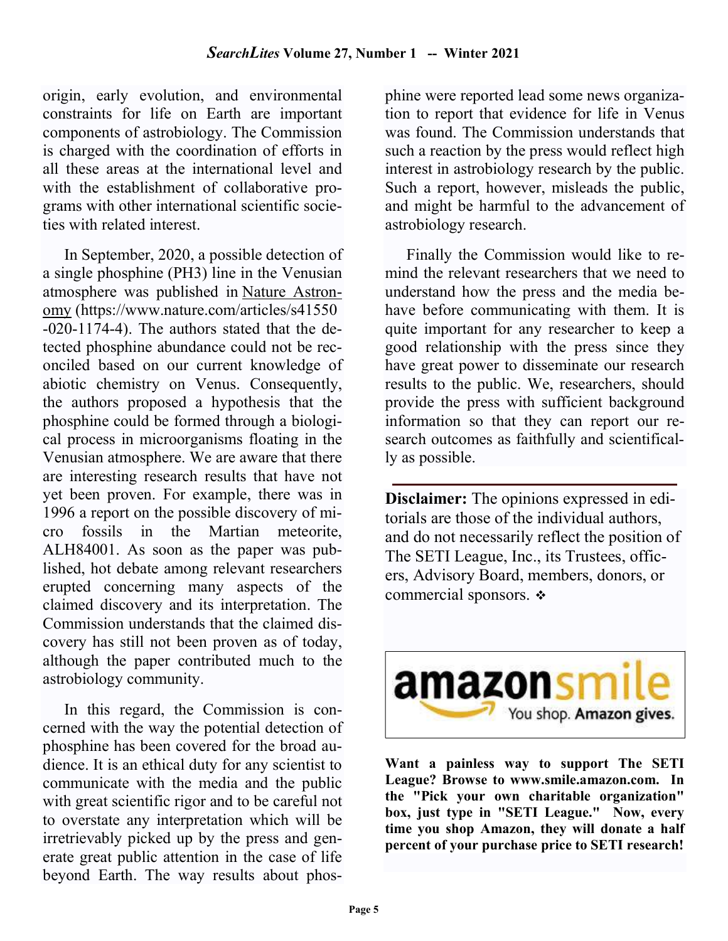origin, early evolution, and environmental constraints for life on Earth are important components of astrobiology. The Commission is charged with the coordination of efforts in all these areas at the international level and with the establishment of collaborative programs with other international scientific societies with related interest.

In September, 2020, a possible detection of a single phosphine (PH3) line in the Venusian atmosphere was published in Nature Astronomy (https://www.nature.com/articles/s41550 -020-1174-4). The authors stated that the detected phosphine abundance could not be reconciled based on our current knowledge of abiotic chemistry on Venus. Consequently, the authors proposed a hypothesis that the phosphine could be formed through a biological process in microorganisms floating in the Venusian atmosphere. We are aware that there are interesting research results that have not yet been proven. For example, there was in 1996 a report on the possible discovery of micro fossils in the Martian meteorite, ALH84001. As soon as the paper was published, hot debate among relevant researchers erupted concerning many aspects of the claimed discovery and its interpretation. The Commission understands that the claimed discovery has still not been proven as of today, although the paper contributed much to the astrobiology community.

In this regard, the Commission is concerned with the way the potential detection of phosphine has been covered for the broad audience. It is an ethical duty for any scientist to communicate with the media and the public with great scientific rigor and to be careful not to overstate any interpretation which will be irretrievably picked up by the press and generate great public attention in the case of life beyond Earth. The way results about phos-

phine were reported lead some news organization to report that evidence for life in Venus was found. The Commission understands that such a reaction by the press would reflect high interest in astrobiology research by the public. Such a report, however, misleads the public, and might be harmful to the advancement of astrobiology research.

Finally the Commission would like to remind the relevant researchers that we need to understand how the press and the media behave before communicating with them. It is quite important for any researcher to keep a good relationship with the press since they have great power to disseminate our research results to the public. We, researchers, should provide the press with sufficient background information so that they can report our research outcomes as faithfully and scientifically as possible.

Disclaimer: The opinions expressed in editorials are those of the individual authors, and do not necessarily reflect the position of The SETI League, Inc., its Trustees, officers, Advisory Board, members, donors, or commercial sponsors.



Want a painless way to support The SETI League? Browse to www.smile.amazon.com. In the "Pick your own charitable organization" box, just type in "SETI League." Now, every time you shop Amazon, they will donate a half percent of your purchase price to SETI research!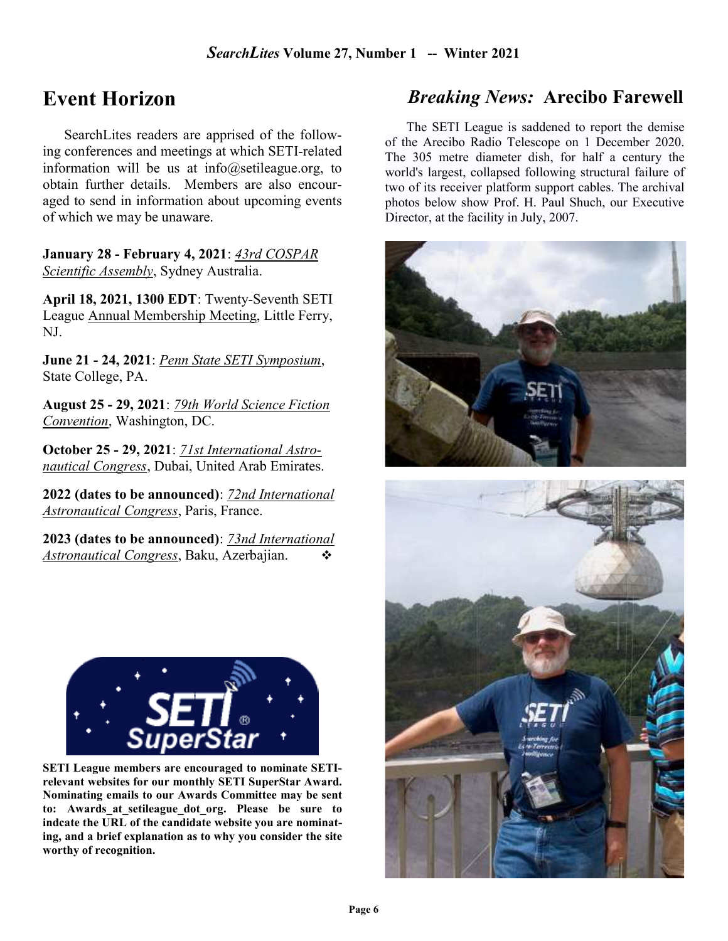# Event Horizon

SearchLites readers are apprised of the following conferences and meetings at which SETI-related information will be us at info@setileague.org, to obtain further details. Members are also encouraged to send in information about upcoming events of which we may be unaware.

January 28 - February 4, 2021: 43rd COSPAR Scientific Assembly, Sydney Australia.

April 18, 2021, 1300 EDT: Twenty-Seventh SETI League Annual Membership Meeting, Little Ferry, NJ.

June 21 - 24, 2021: Penn State SETI Symposium, State College, PA.

August 25 - 29, 2021: 79th World Science Fiction Convention, Washington, DC.

October 25 - 29, 2021: 71st International Astronautical Congress, Dubai, United Arab Emirates.

2022 (dates to be announced): 72nd International Astronautical Congress, Paris, France.

2023 (dates to be announced): 73nd International Astronautical Congress, Baku, Azerbajian.  $\bullet$ 



SETI League members are encouraged to nominate SETIrelevant websites for our monthly SETI SuperStar Award. Nominating emails to our Awards Committee may be sent to: Awards at setileague dot org. Please be sure to indcate the URL of the candidate website you are nominating, and a brief explanation as to why you consider the site worthy of recognition.

# Breaking News: Arecibo Farewell

The SETI League is saddened to report the demise of the Arecibo Radio Telescope on 1 December 2020. The 305 metre diameter dish, for half a century the world's largest, collapsed following structural failure of two of its receiver platform support cables. The archival photos below show Prof. H. Paul Shuch, our Executive Director, at the facility in July, 2007.